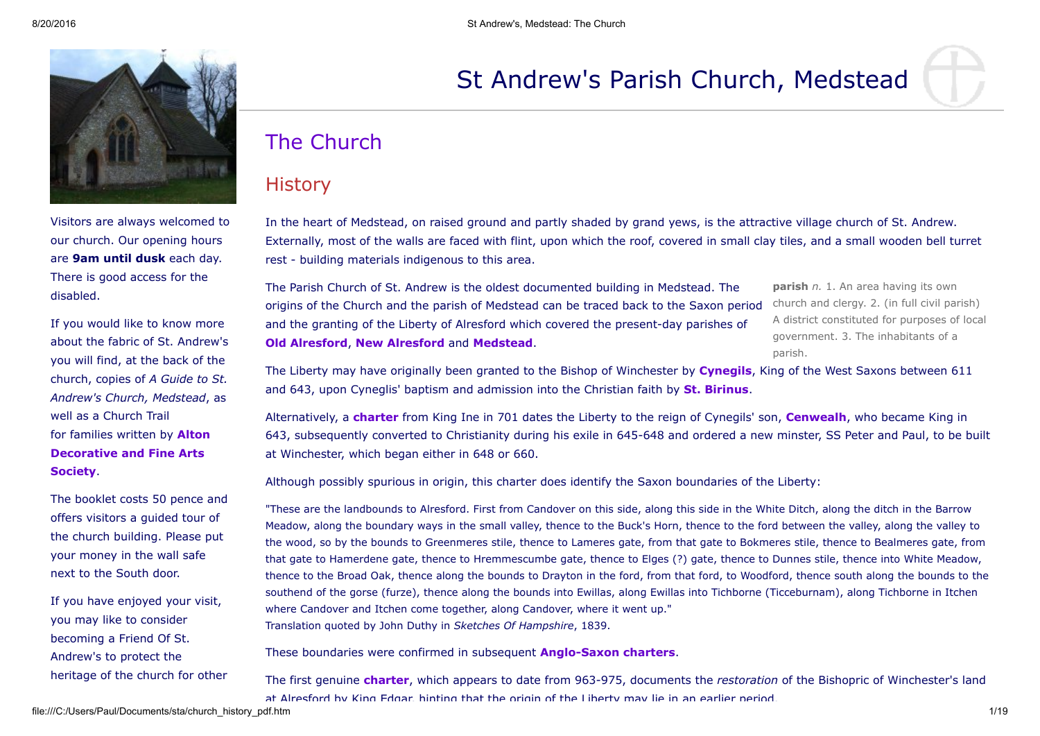

Visitors are always welcomed to our church. Our opening hours are 9am until dusk each day. There is good access for the disabled.

If you would like to know more about the fabric of St. Andrew's you will find, at the back of the church, copies of *A Guide to St. Andrew's Church, Medstead*, as well as a Church Trail for families written by **Alton** [Decorative](http://www.alton-dfas.hampshire.org.uk/) and Fine Arts Society.

The booklet costs 50 pence and offers visitors a guided tour of the church building. Please put your money in the wall safe next to the South door.

If you have enjoyed your visit, you may like to consider becoming a Friend Of St. Andrew's to protect the heritage of the church for other

# St Andrew's Parish Church, Medstead

# The Church

# **History**

In the heart of Medstead, on raised ground and partly shaded by grand yews, is the attractive village church of St. Andrew. Externally, most of the walls are faced with flint, upon which the roof, covered in small clay tiles, and a small wooden bell turret rest - building materials indigenous to this area.

The Parish Church of St. Andrew is the oldest documented building in Medstead. The origins of the Church and the parish of Medstead can be traced back to the Saxon period and the granting of the Liberty of Alresford which covered the present-day parishes of Old [Alresford,](http://www.hants.gov.uk/localpages/central/alresford/old_alresford/) New [Alresford](http://www.hants.gov.uk/localpages/central/alresford/new_alresford/) and [Medstead](http://www.hants.gov.uk/localpages/north_east/alton/medstead/).

**parish** *n.* 1. An area having its own church and clergy. 2. (in full civil parish) A district constituted for purposes of local government. 3. The inhabitants of a parish.

The Liberty may have originally been granted to the Bishop of Winchester by **[Cynegils](http://www.earlybritishkingdoms.com/adversaries/bios/cynegils.html)**, King of the West Saxons between 611 and 643, upon Cyneglis' baptism and admission into the Christian faith by **St. [Birinus.](http://www.britannia.com/bios/birinus.html)** 

Alternatively, a **[charter](http://www.anglo-saxons.net/hwaet/?do=get&type=charter&id=242)** from King Ine in 701 dates the Liberty to the reign of Cynegils' son, **[Cenwealh](http://www.anglo-saxons.net/hwaet/?do=seek&query=642-660)**, who became King in 643, subsequently converted to Christianity during his exile in 645-648 and ordered a new minster, SS Peter and Paul, to be built at Winchester, which began either in 648 or 660.

Although possibly spurious in origin, this charter does identify the Saxon boundaries of the Liberty:

"These are the landbounds to Alresford. First from Candover on this side, along this side in the White Ditch, along the ditch in the Barrow Meadow, along the boundary ways in the small valley, thence to the Buck's Horn, thence to the ford between the valley, along the valley to the wood, so by the bounds to Greenmeres stile, thence to Lameres gate, from that gate to Bokmeres stile, thence to Bealmeres gate, from that gate to Hamerdene gate, thence to Hremmescumbe gate, thence to Elges (?) gate, thence to Dunnes stile, thence into White Meadow, thence to the Broad Oak, thence along the bounds to Drayton in the ford, from that ford, to Woodford, thence south along the bounds to the southend of the gorse (furze), thence along the bounds into Ewillas, along Ewillas into Tichborne (Ticceburnam), along Tichborne in Itchen where Candover and Itchen come together, along Candover, where it went up." Translation quoted by John Duthy in *Sketches Of Hampshire*, 1839.

These boundaries were confirmed in subsequent **Anglo-Saxon charters.** 

The first genuine **[charter](http://www.anglo-saxons.net/hwaet/?do=get&type=charter&id=818)**, which appears to date from 963-975, documents the *restoration* of the Bishopric of Winchester's land at Alresford by King Edgar, hinting that the origin of the Liberty may lie in an earlier period.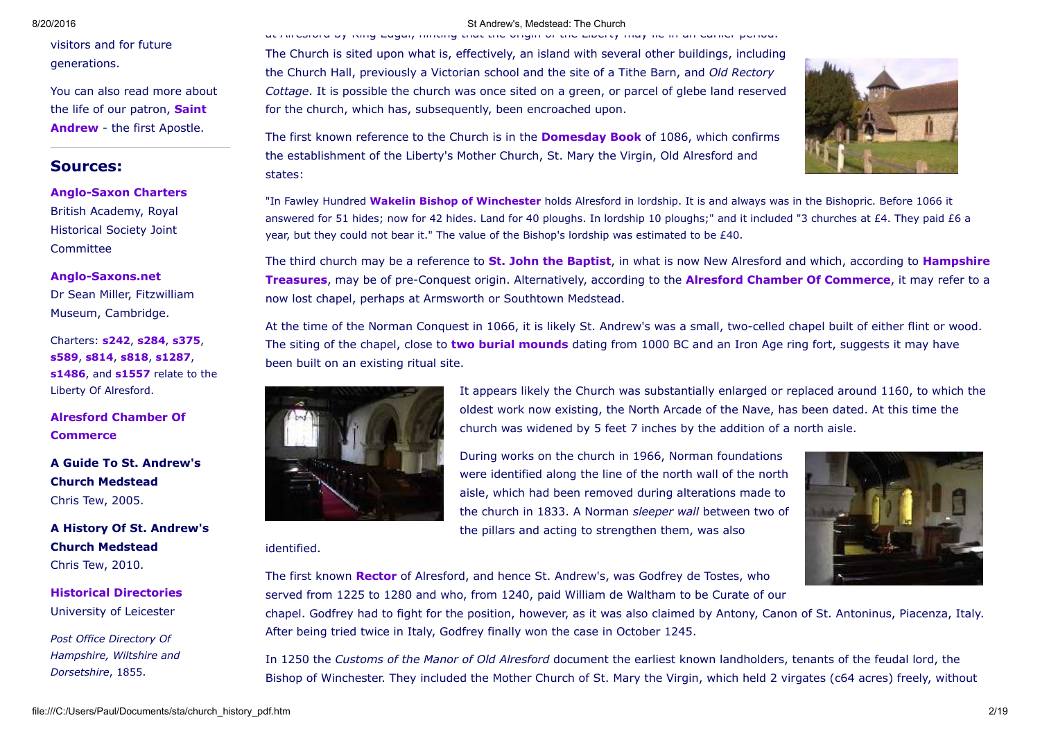visitors and for future generations.

You can also read more about the life of our patron, Saint [Andrew](file:///C:/Users/Paul/Documents/sta/sta.htm) - the first Apostle.

# Sources:

**Anglo-Saxon Charters** British Academy, Royal Historical Society Joint **Committee** 

# Anglo-Saxons.net

Dr Sean Miller, Fitzwilliam Museum, Cambridge.

Charters: [s242,](http://www.anglo-saxons.net/hwaet/?do=get&type=charter&id=242) [s284](http://www.anglo-saxons.net/hwaet/?do=get&type=charter&id=284), [s375,](http://www.anglo-saxons.net/hwaet/?do=get&type=charter&id=375) [s589,](http://www.anglo-saxons.net/hwaet/?do=get&type=charter&id=589) [s814,](http://www.anglo-saxons.net/hwaet/?do=get&type=charter&id=814) [s818,](http://www.anglo-saxons.net/hwaet/?do=get&type=charter&id=818) [s1287](http://www.anglo-saxons.net/hwaet/?do=get&type=charter&id=1287), [s1486,](http://www.anglo-saxons.net/hwaet/?do=get&type=charter&id=1486) and [s1557](http://www.anglo-saxons.net/hwaet/?do=get&type=charter&id=1557) relate to the Liberty Of Alresford.

Alresford Chamber Of **[Commerce](http://www.alresford.org/history.php)** 

A Guide To St. Andrew's Church Medstead Chris Tew, 2005.

# A History Of St. Andrew's Church Medstead Chris Tew, 2010.

Historical [Directories](http://www.historicaldirectories.org/) University of Leicester

*Post Office Directory Of Hampshire, Wiltshire and Dorsetshire*, 1855.

## 8/20/2016 St Andrew's, Medstead: The Church

at Alresford by King Edgar, hinting that the origin of the Liberty may lie in an earlier period.

The Church is sited upon what is, effectively, an island with several other buildings, including the Church Hall, previously a Victorian school and the site of a Tithe Barn, and *Old Rectory Cottage*. It is possible the church was once sited on a green, or parcel of glebe land reserved for the church, which has, subsequently, been encroached upon.

The first known reference to the Church is in the **[Domesday](http://www.domesdaybook.co.uk/) Book** of 1086, which confirms the establishment of the Liberty's Mother Church, St. Mary the Virgin, Old Alresford and states:

"In Fawley Hundred Wakelin Bishop of [Winchester](http://www.britannia.com/bios/walkelin.html) holds Alresford in lordship. It is and always was in the Bishopric. Before 1066 it answered for 51 hides; now for 42 hides. Land for 40 ploughs. In lordship 10 ploughs;" and it included "3 churches at £4. They paid £6 a year, but they could not bear it." The value of the Bishop's lordship was estimated to be £40.

The third church may be a reference to **St. John the [Baptist](http://www.stjohnsalresford.org.uk/)**, in what is now New Alresford and which, according to **Hampshire** Treasures, may be of pre-Conquest origin. Alternatively, according to the **Alresford Chamber Of Commerce**, it may refer to a now lost chapel, perhaps at Armsworth or Southtown Medstead.

At the time of the Norman Conquest in 1066, it is likely St. Andrew's was a small, twocelled chapel built of either flint or wood. The siting of the chapel, close to two burial [mounds](file:///C:/Users/Paul/Documents/sta/mhist.htm#ogn) dating from 1000 BC and an Iron Age ring fort, suggests it may have been built on an existing ritual site.



# identified.



The first known **[Rector](#page-15-0)** of Alresford, and hence St. Andrew's, was Godfrey de Tostes, who served from 1225 to 1280 and who, from 1240, paid William de Waltham to be Curate of our

chapel. Godfrey had to fight for the position, however, as it was also claimed by Antony, Canon of St. Antoninus, Piacenza, Italy. After being tried twice in Italy, Godfrey finally won the case in October 1245.

In 1250 the *Customs of the Manor of Old Alresford* document the earliest known landholders, tenants of the feudal lord, the Bishop of Winchester. They included the Mother Church of St. Mary the Virgin, which held 2 virgates (c64 acres) freely, without

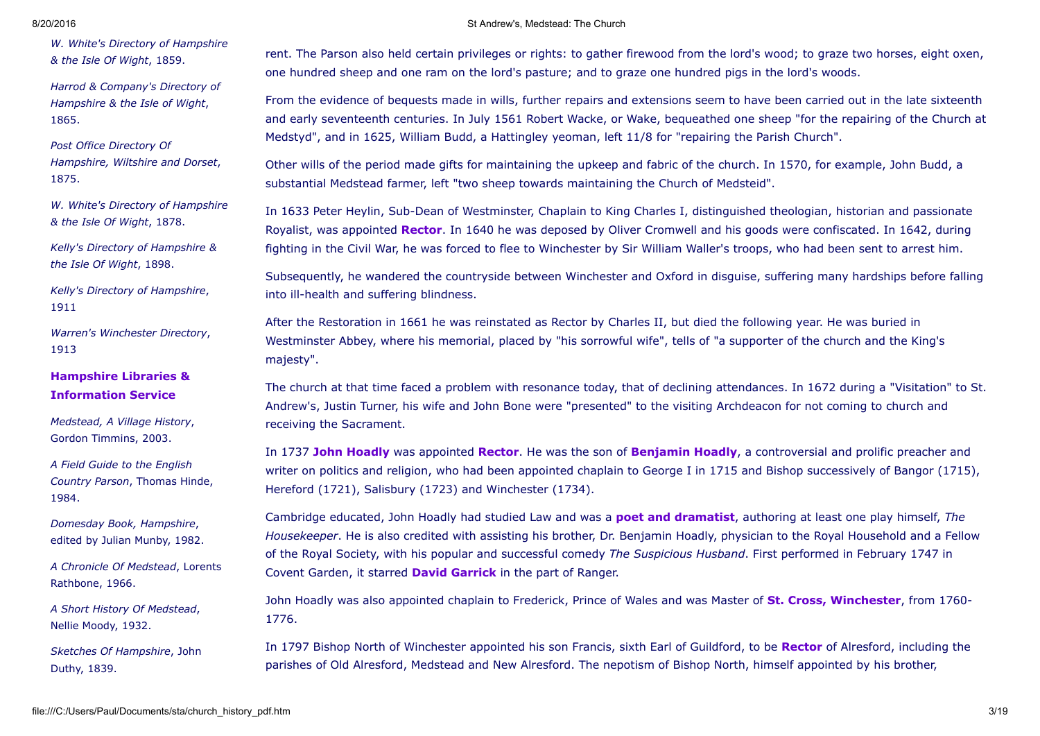*W. White's Directory of Hampshire & the Isle Of Wight*, 1859.

*Harrod & Company's Directory of Hampshire & the Isle of Wight*, 1865.

*Post Office Directory Of Hampshire, Wiltshire and Dorset*, 1875.

*W. White's Directory of Hampshire & the Isle Of Wight*, 1878.

*Kelly's Directory of Hampshire & the Isle Of Wight*, 1898.

*Kelly's Directory of Hampshire*, 1911

*Warren's Winchester Directory*, 1913

# Hampshire Libraries & [Information](http://www.hants.gov.uk/library/) Service

*Medstead, A Village History*, Gordon Timmins, 2003.

*A Field Guide to the English Country Parson*, Thomas Hinde, 1984.

*Domesday Book, Hampshire*, edited by Julian Munby, 1982.

*A Chronicle Of Medstead*, Lorents Rathbone, 1966.

*A Short History Of Medstead*, Nellie Moody, 1932.

*Sketches Of Hampshire*, John Duthy, 1839.

## 8/20/2016 St Andrew's, Medstead: The Church

rent. The Parson also held certain privileges or rights: to gather firewood from the lord's wood; to graze two horses, eight oxen, one hundred sheep and one ram on the lord's pasture; and to graze one hundred pigs in the lord's woods.

From the evidence of bequests made in wills, further repairs and extensions seem to have been carried out in the late sixteenth and early seventeenth centuries. In July 1561 Robert Wacke, or Wake, bequeathed one sheep "for the repairing of the Church at Medstyd", and in 1625, William Budd, a Hattingley yeoman, left 11/8 for "repairing the Parish Church".

Other wills of the period made gifts for maintaining the upkeep and fabric of the church. In 1570, for example, John Budd, a substantial Medstead farmer, left "two sheep towards maintaining the Church of Medsteid".

In 1633 Peter Heylin, Sub-Dean of Westminster, Chaplain to King Charles I, distinguished theologian, historian and passionate Royalist, was appointed [Rector](#page-15-0). In 1640 he was deposed by Oliver Cromwell and his goods were confiscated. In 1642, during fighting in the Civil War, he was forced to flee to Winchester by Sir William Waller's troops, who had been sent to arrest him.

Subsequently, he wandered the countryside between Winchester and Oxford in disguise, suffering many hardships before falling into ill-health and suffering blindness.

After the Restoration in 1661 he was reinstated as Rector by Charles II, but died the following year. He was buried in Westminster Abbey, where his memorial, placed by "his sorrowful wife", tells of "a supporter of the church and the King's majesty".

The church at that time faced a problem with resonance today, that of declining attendances. In 1672 during a "Visitation" to St. Andrew's, Justin Turner, his wife and John Bone were "presented" to the visiting Archdeacon for not coming to church and receiving the Sacrament.

In 1737 John [Hoadly](http://www.npg.org.uk/live/search/portrait.asp?mkey=mw02726) was appointed [Rector.](#page-15-0) He was the son of [Benjamin](http://en.wikipedia.org/wiki/Benjamin_Hoadley) Hoadly, a controversial and prolific preacher and writer on politics and religion, who had been appointed chaplain to George I in 1715 and Bishop successively of Bangor (1715), Hereford (1721), Salisbury (1723) and Winchester (1734).

Cambridge educated, John Hoadly had studied Law and was a poet and [dramatist,](http://www.bodley.ox.ac.uk/dept/scwmss/wmss/online/1500-1900/hoadly/hoadly.html) authoring at least one play himself, *The Housekeeper*. He is also credited with assisting his brother, Dr. Benjamin Hoadly, physician to the Royal Household and a Fellow of the Royal Society, with his popular and successful comedy *The Suspicious Husband*. First performed in February 1747 in Covent Garden, it starred **David [Garrick](http://www.museumoflondon.org.uk/frames.shtml?http://www.museumoflondon.org.uk/molsite/piclib/pages/bigpicture.asp?id=41)** in the part of Ranger.

John Hoadly was also appointed chaplain to Frederick, Prince of Wales and was Master of St. Cross, [Winchester](http://www.hants.gov.uk/discover/places/stcross.html), from 1760-1776.

In 1797 Bishop North of Winchester appointed his son Francis, sixth Earl of Guildford, to be [Rector](#page-15-0) of Alresford, including the parishes of Old Alresford, Medstead and New Alresford. The nepotism of Bishop North, himself appointed by his brother,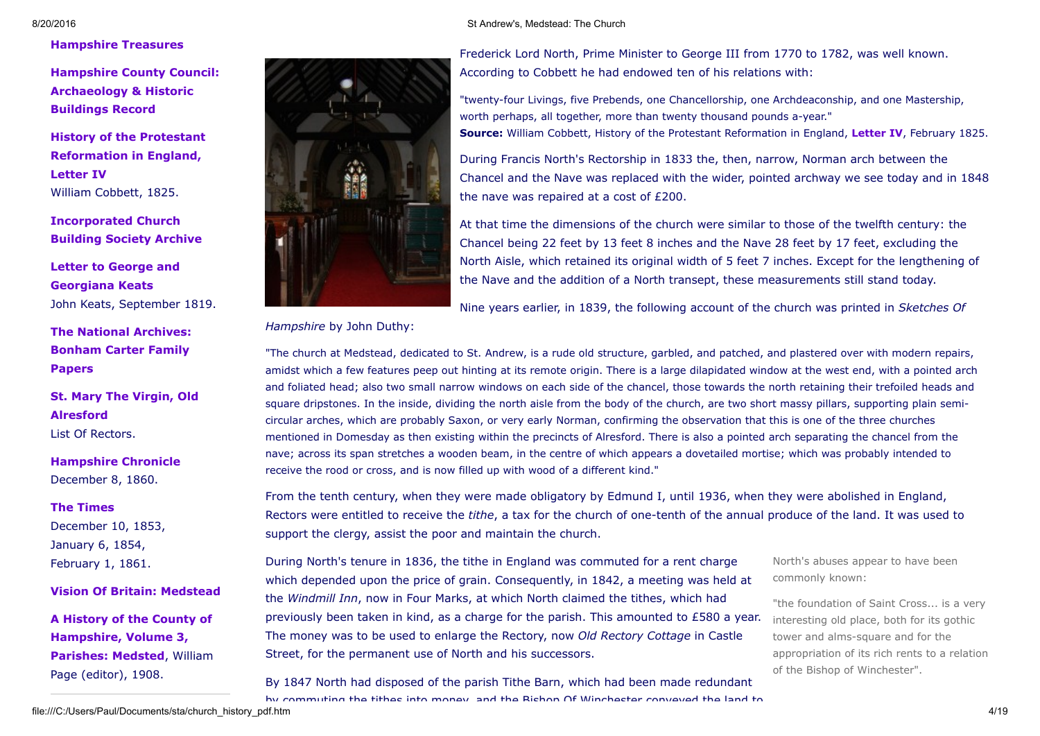# [Hampshire](http://www.hants.gov.uk/hampshiretreasures/) Treasures

Hampshire County Council: [Archaeology](http://www.hants.gov.uk/environment/historic-environment/ahbrecord.html) & Historic Buildings Record

History of the Protestant [Reformation](http://www.exclassics.com/protref/prot4.htm) in England, Letter IV William Cobbett, 1825.

[Incorporated](http://www.churchplansonline.org/index.asp) Church Building Society Archive

Letter to George and [Georgiana](http://englishhistory.net/keats/letters/georgekeatsseptember1819.html) Keats John Keats, September 1819.

The National [Archives:](http://www.a2a.org.uk/html/041-bonham.htm) Bonham Carter Family Papers

St. Mary The Virgin, Old [Alresford](http://www.southernlife.org.uk/stmary.htm) List Of Rectors.

[Hampshire](http://www.hampshirechronicle.co.uk/) Chronicle December 8, 1860.

## The [Times](http://www.timesonline.co.uk/)

December 10, 1853, January 6, 1854, February 1, 1861.

Vision Of Britain: [Medstead](http://www.visionofbritain.org.uk/place/place_page.jsp?p_id=2326&st=MEDSTEAD)

A History of the County of [Hampshire,](http://www.british-history.ac.uk/report.aspx?compid=41987) Volume 3, Parishes: Medsted, William Page (editor), 1908.



Frederick Lord North, Prime Minister to George III from 1770 to 1782, was well known. According to Cobbett he had endowed ten of his relations with:

"twenty-four Livings, five Prebends, one Chancellorship, one Archdeaconship, and one Mastership, worth perhaps, all together, more than twenty thousand pounds a-year." Source: William Cobbett, History of the Protestant Reformation in England, [Letter](http://www.exclassics.com/protref/prot4.htm) IV, February 1825.

During Francis North's Rectorship in 1833 the, then, narrow, Norman arch between the Chancel and the Nave was replaced with the wider, pointed archway we see today and in 1848 the nave was repaired at a cost of £200.

At that time the dimensions of the church were similar to those of the twelfth century: the Chancel being 22 feet by 13 feet 8 inches and the Nave 28 feet by 17 feet, excluding the North Aisle, which retained its original width of 5 feet 7 inches. Except for the lengthening of the Nave and the addition of a North transept, these measurements still stand today.

Nine years earlier, in 1839, the following account of the church was printed in *Sketches Of*

*Hampshire* by John Duthy:

"The church at Medstead, dedicated to St. Andrew, is a rude old structure, garbled, and patched, and plastered over with modern repairs, amidst which a few features peep out hinting at its remote origin. There is a large dilapidated window at the west end, with a pointed arch and foliated head; also two small narrow windows on each side of the chancel, those towards the north retaining their trefoiled heads and square dripstones. In the inside, dividing the north aisle from the body of the church, are two short massy pillars, supporting plain semicircular arches, which are probably Saxon, or very early Norman, confirming the observation that this is one of the three churches mentioned in Domesday as then existing within the precincts of Alresford. There is also a pointed arch separating the chancel from the nave; across its span stretches a wooden beam, in the centre of which appears a dovetailed mortise; which was probably intended to receive the rood or cross, and is now filled up with wood of a different kind."

From the tenth century, when they were made obligatory by Edmund I, until 1936, when they were abolished in England, Rectors were entitled to receive the *tithe*, a tax for the church of one-tenth of the annual produce of the land. It was used to support the clergy, assist the poor and maintain the church.

During North's tenure in 1836, the tithe in England was commuted for a rent charge which depended upon the price of grain. Consequently, in 1842, a meeting was held at the *Windmill Inn*, now in Four Marks, at which North claimed the tithes, which had previously been taken in kind, as a charge for the parish. This amounted to £580 a year. The money was to be used to enlarge the Rectory, now *Old Rectory Cottage* in Castle Street, for the permanent use of North and his successors.

North's abuses appear to have been commonly known:

"the foundation of Saint Cross... is a very interesting old place, both for its gothic tower and alms-square and for the appropriation of its rich rents to a relation of the Bishop of Winchester".

8/20/2016 St Andrew's, Medstead: The Church

By 1847 North had disposed of the parish Tithe Barn, which had been made redundant by commuting the tithes into money, and the Bishop Of Winchester conveyed the land to

file:///C:/Users/Paul/Documents/sta/church\_history\_pdf.htm 4/19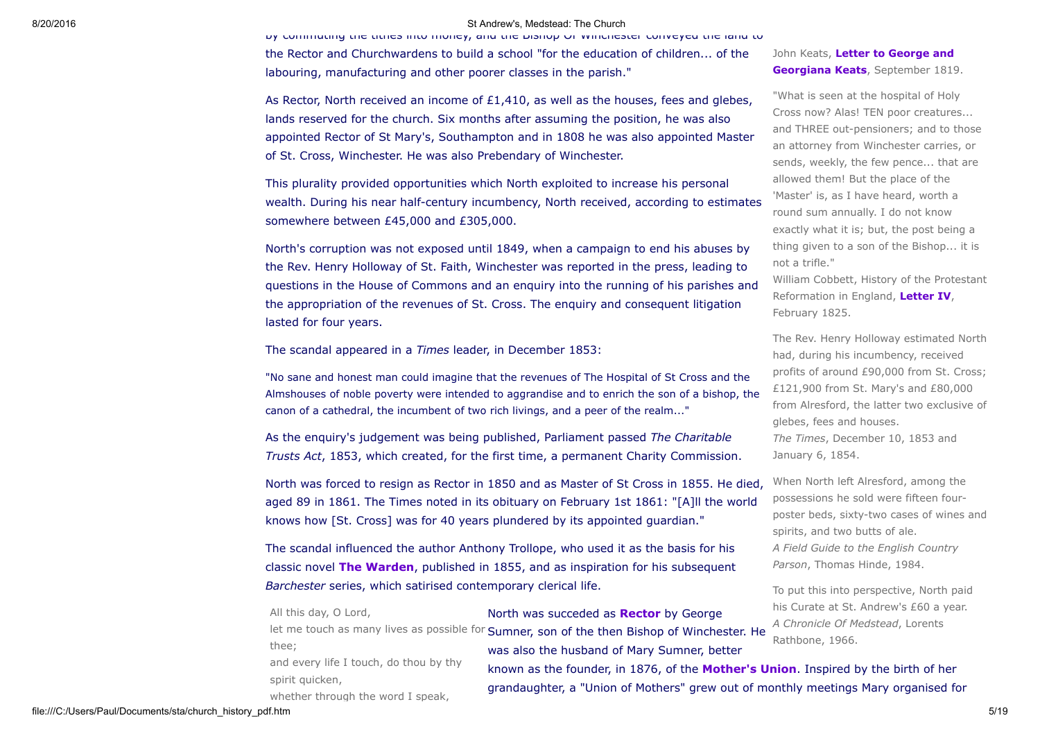by commuting the tithes into money, and the Bishop Of Winchester conveyed the land to the Rector and Churchwardens to build a school "for the education of children... of the labouring, manufacturing and other poorer classes in the parish."

As Rector, North received an income of  $£1,410,$  as well as the houses, fees and glebes, lands reserved for the church. Six months after assuming the position, he was also appointed Rector of St Mary's, Southampton and in 1808 he was also appointed Master of St. Cross, Winchester. He was also Prebendary of Winchester.

This plurality provided opportunities which North exploited to increase his personal wealth. During his near half-century incumbency, North received, according to estimates somewhere between £45,000 and £305,000.

North's corruption was not exposed until 1849, when a campaign to end his abuses by the Rev. Henry Holloway of St. Faith, Winchester was reported in the press, leading to questions in the House of Commons and an enquiry into the running of his parishes and the appropriation of the revenues of St. Cross. The enquiry and consequent litigation lasted for four years.

The scandal appeared in a *Times* leader, in December 1853:

"No sane and honest man could imagine that the revenues of The Hospital of St Cross and the Almshouses of noble poverty were intended to aggrandise and to enrich the son of a bishop, the canon of a cathedral, the incumbent of two rich livings, and a peer of the realm..."

As the enquiry's judgement was being published, Parliament passed *The Charitable Trusts Act*, 1853, which created, for the first time, a permanent Charity Commission.

North was forced to resign as Rector in 1850 and as Master of St Cross in 1855. He died, aged 89 in 1861. The Times noted in its obituary on February 1st 1861: "[A]ll the world knows how [St. Cross] was for 40 years plundered by its appointed guardian."

The scandal influenced the author Anthony Trollope, who used it as the basis for his classic novel **The Warden**, published in 1855, and as inspiration for his subsequent *Barchester* series, which satirised contemporary clerical life.

John Keats, Letter to George and [Georgiana](http://englishhistory.net/keats/letters/georgekeatsseptember1819.html) Keats, September 1819.

"What is seen at the hospital of Holy Cross now? Alas! TEN poor creatures... and THREE out-pensioners; and to those an attorney from Winchester carries, or sends, weekly, the few pence... that are allowed them! But the place of the 'Master' is, as I have heard, worth a round sum annually. I do not know exactly what it is; but, the post being a thing given to a son of the Bishop... it is not a trifle."

William Cobbett, History of the Protestant Reformation in England, [Letter](http://www.exclassics.com/protref/prot4.htm) IV, February 1825.

The Rev. Henry Holloway estimated North had, during his incumbency, received profits of around £90,000 from St. Cross; £121,900 from St. Mary's and £80,000 from Alresford, the latter two exclusive of glebes, fees and houses. *The Times*, December 10, 1853 and January 6, 1854.

When North left Alresford, among the possessions he sold were fifteen fourposter beds, sixty-two cases of wines and spirits, and two butts of ale. *A Field Guide to the English Country Parson*, Thomas Hinde, 1984.

To put this into perspective, North paid his Curate at St. Andrew's £60 a year. *A Chronicle Of Medstead*, Lorents Rathbone, 1966.

North was succeded as **[Rector](#page-15-0)** by George let me touch as many lives as possible for Sumner, son of the then Bishop of Winchester. He was also the husband of Mary Sumner, better thee;

and every life I touch, do thou by thy spirit quicken,

All this day, O Lord,

whether through the word I speak,

known as the founder, in 1876, of the **[Mother's](http://www.themothersunion.org/) Union**. Inspired by the birth of her grandaughter, a "Union of Mothers" grew out of monthly meetings Mary organised for

file:///C:/Users/Paul/Documents/sta/church\_history\_pdf.htm 5/19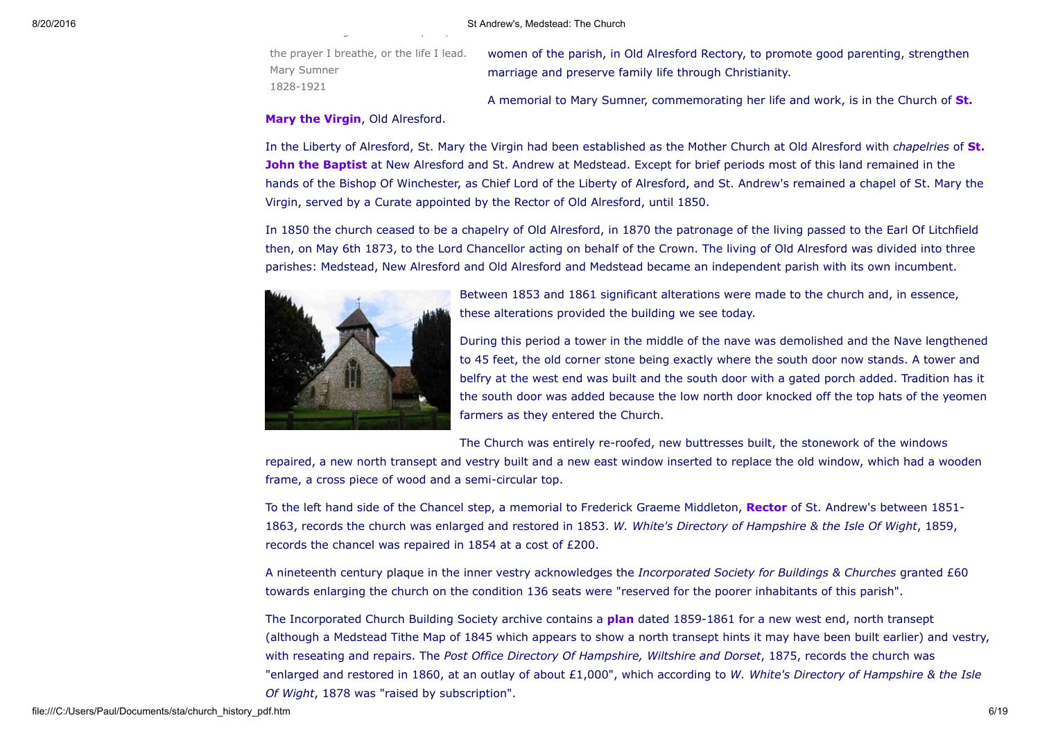the prayer I breathe, or the life I lead. Mary Sumner 18281921

whether through the word I speak, the word

women of the parish, in Old Alresford Rectory, to promote good parenting, strengthen marriage and preserve family life through Christianity.

A memorial to Mary Sumner, [commemorating](http://www.southernlife.org.uk/stmary.htm) her life and work, is in the Church of St.

## Mary the Virgin, Old Alresford.

In the Liberty of Alresford, St. Mary the Virgin had been [established](http://www.stjohnsalresford.org.uk/) as the Mother Church at Old Alresford with *chapelries* of St. **John the Baptist** at New Alresford and St. Andrew at Medstead. Except for brief periods most of this land remained in the hands of the Bishop Of Winchester, as Chief Lord of the Liberty of Alresford, and St. Andrew's remained a chapel of St. Mary the Virgin, served by a Curate appointed by the Rector of Old Alresford, until 1850.

In 1850 the church ceased to be a chapelry of Old Alresford, in 1870 the patronage of the living passed to the Earl Of Litchfield then, on May 6th 1873, to the Lord Chancellor acting on behalf of the Crown. The living of Old Alresford was divided into three parishes: Medstead, New Alresford and Old Alresford and Medstead became an independent parish with its own incumbent.



Between 1853 and 1861 significant alterations were made to the church and, in essence, these alterations provided the building we see today.

During this period a tower in the middle of the nave was demolished and the Nave lengthened to 45 feet, the old corner stone being exactly where the south door now stands. A tower and belfry at the west end was built and the south door with a gated porch added. Tradition has it the south door was added because the low north door knocked off the top hats of the yeomen farmers as they entered the Church.

The Church was entirely re-roofed, new buttresses built, the stonework of the windows

repaired, a new north transept and vestry built and a new east window inserted to replace the old window, which had a wooden frame, a cross piece of wood and a semi-circular top.

To the left hand side of the Chancel step, a memorial to Frederick Graeme Middleton, [Rector](#page-15-0) of St. Andrew's between 1851-1863, records the church was enlarged and restored in 1853. *W. White's Directory of Hampshire & the Isle Of Wight*, 1859, records the chancel was repaired in 1854 at a cost of £200.

A nineteenth century plaque in the inner vestry acknowledges the *Incorporated Society for Buildings & Churches* granted £60 towards enlarging the church on the condition 136 seats were "reserved for the poorer inhabitants of this parish".

The Incorporated Church Building Society archive contains a **[plan](http://www.churchplansonline.org/retrieve_results.asp?i=05422)** dated 1859-1861 for a new west end, north transept (although a Medstead Tithe Map of 1845 which appears to show a north transept hints it may have been built earlier) and vestry, with reseating and repairs. The *Post Office Directory Of Hampshire, Wiltshire and Dorset*, 1875, records the church was "enlarged and restored in 1860, at an outlay of about £1,000", which according to *W. White's Directory of Hampshire & the Isle Of Wight*, 1878 was "raised by subscription".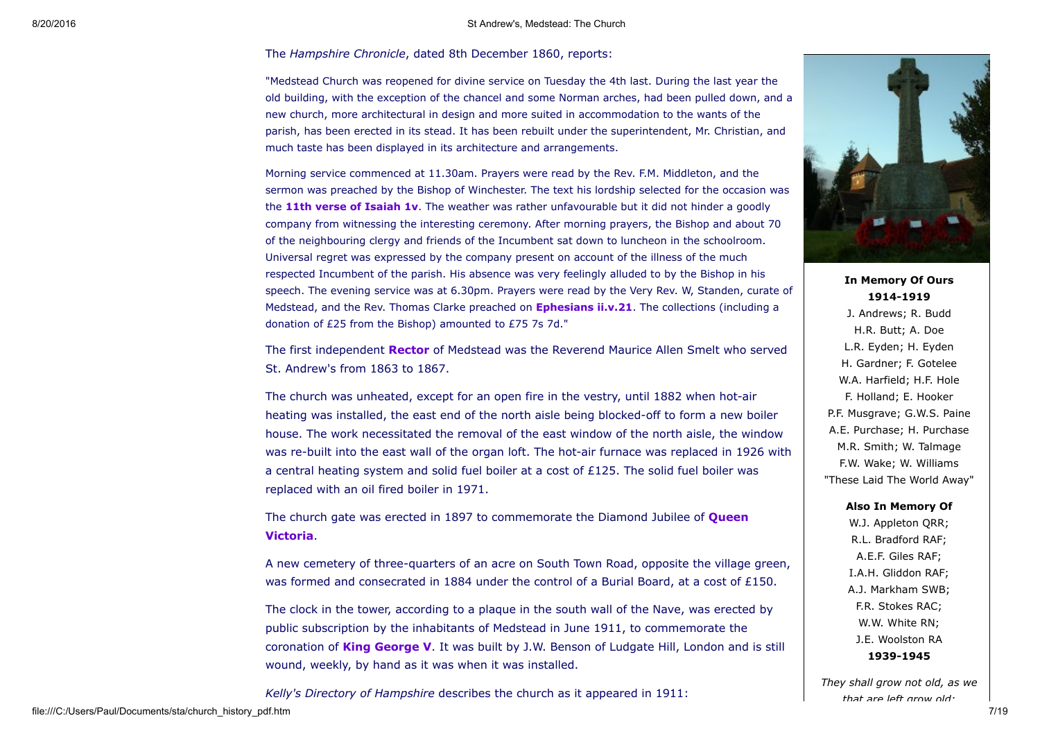### The *Hampshire Chronicle*, dated 8th December 1860, reports:

"Medstead Church was reopened for divine service on Tuesday the 4th last. During the last year the old building, with the exception of the chancel and some Norman arches, had been pulled down, and a new church, more architectural in design and more suited in accommodation to the wants of the parish, has been erected in its stead. It has been rebuilt under the superintendent, Mr. Christian, and much taste has been displayed in its architecture and arrangements.

Morning service commenced at 11.30am. Prayers were read by the Rev. F.M. Middleton, and the sermon was preached by the Bishop of Winchester. The text his lordship selected for the occasion was the 11th verse of [Isaiah](http://www.biblegateway.com/bible?language=english&version=NIVUK&passage=Isaiah+1:11) 1v. The weather was rather unfavourable but it did not hinder a goodly company from witnessing the interesting ceremony. After morning prayers, the Bishop and about 70 of the neighbouring clergy and friends of the Incumbent sat down to luncheon in the schoolroom. Universal regret was expressed by the company present on account of the illness of the much respected Incumbent of the parish. His absence was very feelingly alluded to by the Bishop in his speech. The evening service was at 6.30pm. Prayers were read by the Very Rev. W, Standen, curate of Medstead, and the Rev. Thomas Clarke preached on **[Ephesians](http://www.biblegateway.com/bible?language=english&version=NIVUK&passage=Ephesians+2:21) ii.v.21**. The collections (including a donation of £25 from the Bishop) amounted to £75 7s 7d."

The first independent [Rector](#page-15-0) of Medstead was the Reverend Maurice Allen Smelt who served St. Andrew's from 1863 to 1867.

The church was unheated, except for an open fire in the vestry, until 1882 when hot-air heating was installed, the east end of the north aisle being blocked-off to form a new boiler house. The work necessitated the removal of the east window of the north aisle, the window was re-built into the east wall of the organ loft. The hot-air furnace was replaced in 1926 with a central heating system and solid fuel boiler at a cost of £125. The solid fuel boiler was replaced with an oil fired boiler in 1971.

The church gate was erected in 1897 to [commemorate](http://www.royal.gov.uk/output/page118.asp) the Diamond Jubilee of **Queen** Victoria.

A new cemetery of three-quarters of an acre on South Town Road, opposite the village green, was formed and consecrated in 1884 under the control of a Burial Board, at a cost of £150.

The clock in the tower, according to a plaque in the south wall of the Nave, was erected by public subscription by the inhabitants of Medstead in June 1911, to commemorate the coronation of **King [George](http://www.royal.gov.uk/output/Page139.asp) V.** It was built by J.W. Benson of Ludgate Hill, London and is still wound, weekly, by hand as it was when it was installed.

*Kelly's Directory of Hampshire* describes the church as it appeared in 1911:



In Memory Of Ours 1914-1919

J. Andrews; R. Budd H.R. Butt; A. Doe L.R. Eyden; H. Eyden H. Gardner; F. Gotelee W.A. Harfield; H.F. Hole F. Holland; E. Hooker P.F. Musgrave; G.W.S. Paine A.E. Purchase; H. Purchase M.R. Smith; W. Talmage F.W. Wake; W. Williams "These Laid The World Away"

Also In Memory Of

W.J. Appleton QRR; R.L. Bradford RAF; A.E.F. Giles RAF; I.A.H. Gliddon RAF; A.J. Markham SWB; F.R. Stokes RAC; W.W. White RN; J.E. Woolston RA 1939-1945

*They shall grow not old, as we that are left grow old:*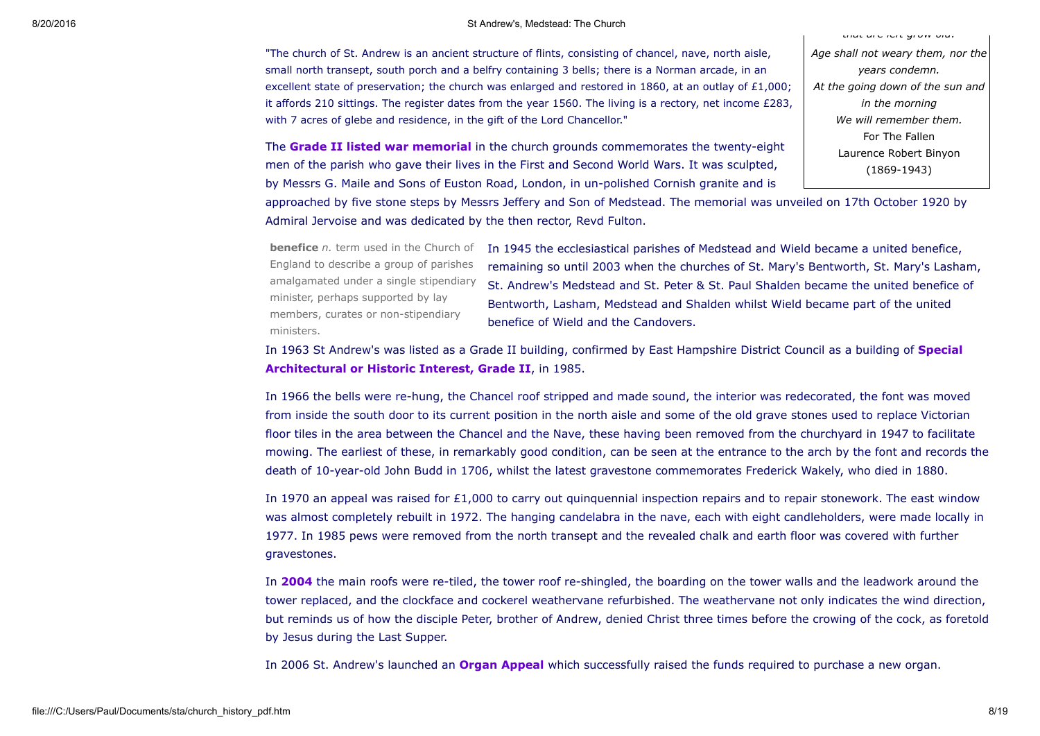"The church of St. Andrew is an ancient structure of flints, consisting of chancel, nave, north aisle, small north transept, south porch and a belfry containing 3 bells; there is a Norman arcade, in an excellent state of preservation; the church was enlarged and restored in 1860, at an outlay of £1,000; it affords 210 sittings. The register dates from the year 1560. The living is a rectory, net income £283, with 7 acres of glebe and residence, in the gift of the Lord Chancellor."

The **Grade II listed war [memorial](http://www.britishlistedbuildings.co.uk/en-494650-war-memorial-south-east-of-the-church-of)** in the church grounds commemorates the twenty-eight men of the parish who gave their lives in the First and Second World Wars. It was sculpted, by Messrs G. Maile and Sons of Euston Road, London, in un-polished Cornish granite and is

approached by five stone steps by Messrs Jeffery and Son of Medstead. The memorial was unveiled on 17th October 1920 by Admiral Jervoise and was dedicated by the then rector, Revd Fulton.

England to describe a group of parishes amalgamated under a single stipendiary minister, perhaps supported by lay members, curates or non-stipendiary ministers.

benefice *n.* term used in the Church of In 1945 the ecclesiastical parishes of Medstead and Wield became a united benefice, remaining so until 2003 when the churches of St. Mary's Bentworth, St. Mary's Lasham, St. Andrew's Medstead and St. Peter & St. Paul Shalden became the united benefice of Bentworth, Lasham, Medstead and Shalden whilst Wield became part of the united benefice of Wield and the Candovers.

In 1963 St Andrew's was listed as a Grade II building, confirmed by East Hampshire District Council as a building of **Special** [Architectural](http://www.britishlistedbuildings.co.uk/en-142015-church-of-st-andrew-medstead) or Historic Interest, Grade II, in 1985.

In 1966 the bells were rehung, the Chancel roof stripped and made sound, the interior was redecorated, the font was moved from inside the south door to its current position in the north aisle and some of the old grave stones used to replace Victorian floor tiles in the area between the Chancel and the Nave, these having been removed from the churchyard in 1947 to facilitate mowing. The earliest of these, in remarkably good condition, can be seen at the entrance to the arch by the font and records the death of 10-year-old John Budd in 1706, whilst the latest gravestone commemorates Frederick Wakely, who died in 1880.

In 1970 an appeal was raised for  $£1,000$  to carry out quinquennial inspection repairs and to repair stonework. The east window was almost completely rebuilt in 1972. The hanging candelabra in the nave, each with eight candleholders, were made locally in 1977. In 1985 pews were removed from the north transept and the revealed chalk and earth floor was covered with further gravestones.

In [2004](file:///C:/Users/Paul/Documents/sta/news0407.htm#a10) the main roofs were re-tiled, the tower roof re-shingled, the boarding on the tower walls and the leadwork around the tower replaced, and the clockface and cockerel weathervane refurbished. The weathervane not only indicates the wind direction, but reminds us of how the disciple Peter, brother of Andrew, denied Christ three times before the crowing of the cock, as foretold by Jesus during the Last Supper.

In 2006 St. Andrew's launched an **Organ [Appeal](file:///C:/Users/Paul/Documents/sta/organ.htm)** which successfully raised the funds required to purchase a new organ.

*Age shall not weary them, nor the years condemn. At the going down of the sun and in the morning We will remember them.* For The Fallen Laurence Robert Binyon  $(1869 - 1943)$ 

*that are left grow old:*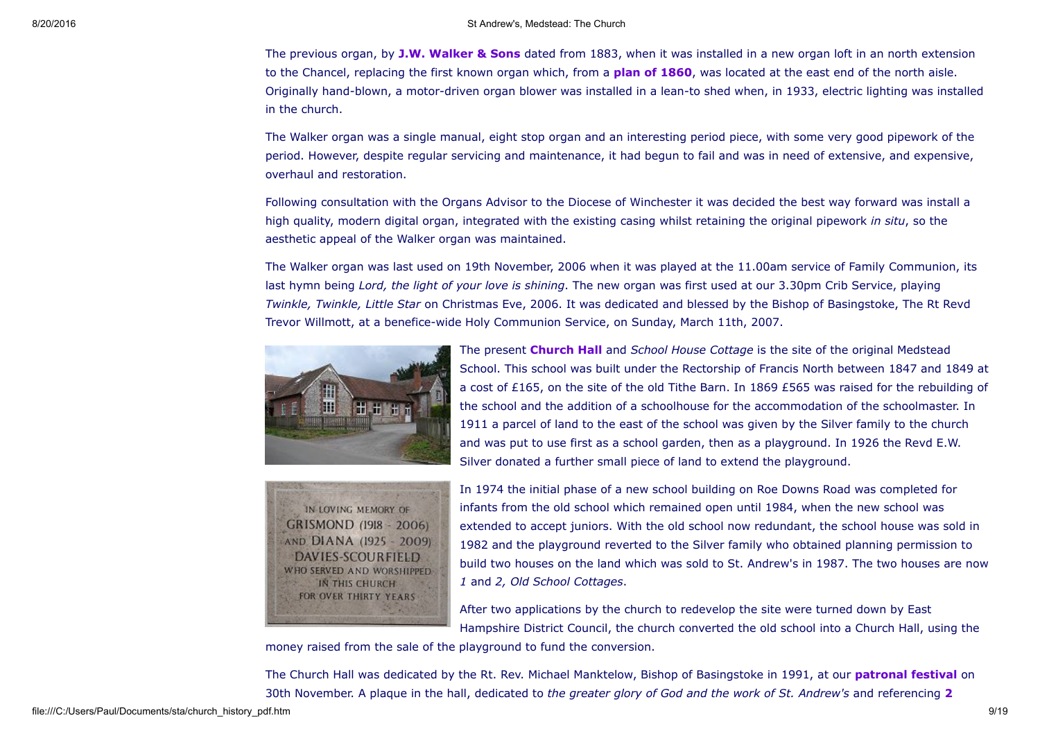The previous organ, by **J.W. [Walker](http://www.jwwalker.co.uk/) & Sons** dated from 1883, when it was installed in a new organ loft in an north extension to the Chancel, replacing the first known organ which, from a **plan of 1860**, was located at the east end of the north aisle. Originally hand-blown, a motor-driven organ blower was installed in a lean-to shed when, in 1933, electric lighting was installed in the church.

The Walker organ was a single manual, eight stop organ and an interesting period piece, with some very good pipework of the period. However, despite regular servicing and maintenance, it had begun to fail and was in need of extensive, and expensive, overhaul and restoration.

Following consultation with the Organs Advisor to the Diocese of Winchester it was decided the best way forward was install a high quality, modern digital organ, integrated with the existing casing whilst retaining the original pipework *in situ*, so the aesthetic appeal of the Walker organ was maintained.

The Walker organ was last used on 19th November, 2006 when it was played at the 11.00am service of Family Communion, its last hymn being *Lord, the light of your love is shining*. The new organ was first used at our 3.30pm Crib Service, playing *Twinkle, Twinkle, Little Star* on Christmas Eve, 2006. It was dedicated and blessed by the Bishop of Basingstoke, The Rt Revd Trevor Willmott, at a benefice-wide Holy Communion Service, on Sunday, March 11th, 2007.







In 1974 the initial phase of a new school building on Roe Downs Road was completed for infants from the old school which remained open until 1984, when the new school was extended to accept juniors. With the old school now redundant, the school house was sold in 1982 and the playground reverted to the Silver family who obtained planning permission to build two houses on the land which was sold to St. Andrew's in 1987. The two houses are now *1* and *2, Old School Cottages*.

After two applications by the church to redevelop the site were turned down by East Hampshire District Council, the church converted the old school into a Church Hall, using the

money raised from the sale of the playground to fund the conversion.

The Church Hall was dedicated by the Rt. Rev. Michael Manktelow, Bishop of Basingstoke in 1991, at our **[patronal](file:///C:/Users/Paul/Documents/sta/sta.htm) festival** on 30th November. A plaque in the hall, dedicated to *the greater glory of God and the work of St. Andrew's* and [referencing](http://www.biblegateway.com/bible?language=english&version=NKJV-UK&passage=2timothy+2:15) 2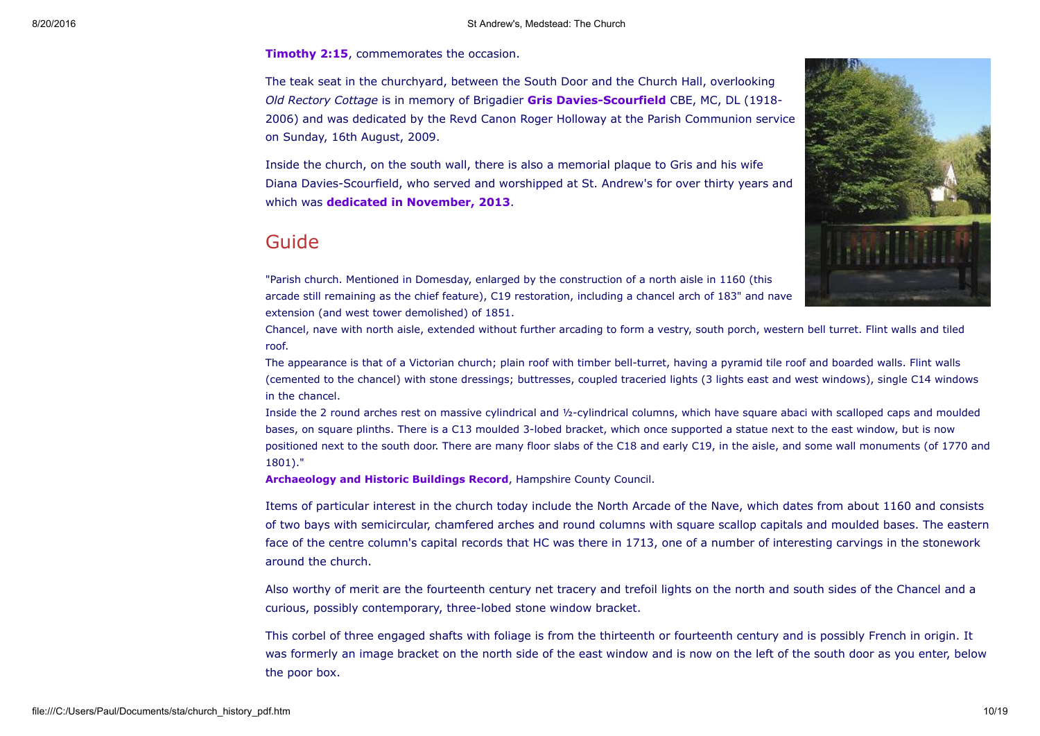**Timothy 2:15, [commemorates](http://www.biblegateway.com/bible?language=english&version=NKJV-UK&passage=2timothy+2:15) the occasion.** 

The teak seat in the churchyard, between the South Door and the Church Hall, overlooking *Old Rectory Cottage* is in memory of Brigadier **Gris Davies-Scourfield** CBE, MC, DL (1918-2006) and was dedicated by the Revd Canon Roger Holloway at the Parish Communion service on Sunday, 16th August, 2009.

Inside the church, on the south wall, there is also a memorial plaque to Gris and his wife Diana Davies-Scourfield, who served and worshipped at St. Andrew's for over thirty years and which was **dedicated in [November,](file:///C:/Users/Paul/Documents/sta/news1310.htm#b6) 2013.** 

# Guide



"Parish church. Mentioned in Domesday, enlarged by the construction of a north aisle in 1160 (this arcade still remaining as the chief feature), C19 restoration, including a chancel arch of 183" and nave extension (and west tower demolished) of 1851.

Chancel, nave with north aisle, extended without further arcading to form a vestry, south porch, western bell turret. Flint walls and tiled roof.

The appearance is that of a Victorian church; plain roof with timber bell-turret, having a pyramid tile roof and boarded walls. Flint walls (cemented to the chancel) with stone dressings; buttresses, coupled traceried lights (3 lights east and west windows), single C14 windows in the chancel.

Inside the 2 round arches rest on massive cylindrical and 1/2-cylindrical columns, which have square abaci with scalloped caps and moulded bases, on square plinths. There is a C13 moulded 3-lobed bracket, which once supported a statue next to the east window, but is now positioned next to the south door. There are many floor slabs of the C18 and early C19, in the aisle, and some wall monuments (of 1770 and 1801)."

[Archaeology](http://www.hants.gov.uk/environment/historic-environment/ahbrecord.html) and Historic Buildings Record, Hampshire County Council.

Items of particular interest in the church today include the North Arcade of the Nave, which dates from about 1160 and consists of two bays with semicircular, chamfered arches and round columns with square scallop capitals and moulded bases. The eastern face of the centre column's capital records that HC was there in 1713, one of a number of interesting carvings in the stonework around the church.

Also worthy of merit are the fourteenth century net tracery and trefoil lights on the north and south sides of the Chancel and a curious, possibly contemporary, three-lobed stone window bracket.

This corbel of three engaged shafts with foliage is from the thirteenth or fourteenth century and is possibly French in origin. It was formerly an image bracket on the north side of the east window and is now on the left of the south door as you enter, below the poor box.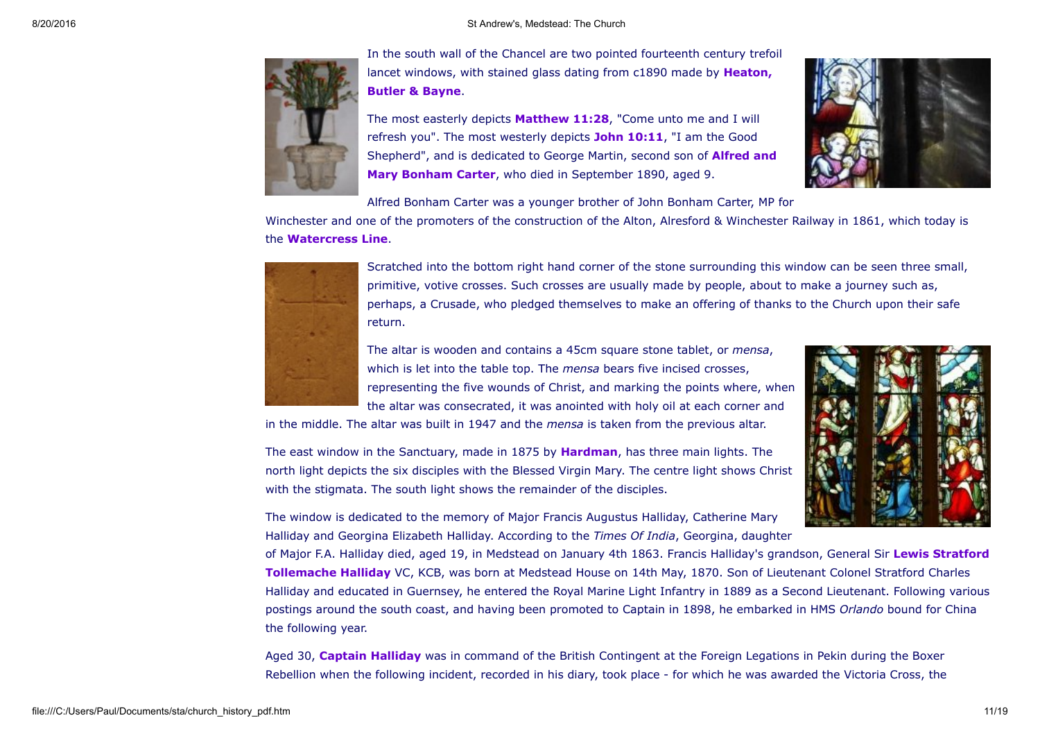

In the south wall of the Chancel are two pointed fourteenth century trefoil lancet [windows,](http://en.wikipedia.org/wiki/Heaton,_Butler_and_Bayne) with stained glass dating from c1890 made by Heaton, Butler & Bayne.

The most easterly depicts **[Matthew](http://www.biblegateway.com/bible?language=english&version=NKJV-UK&passage=matthew+11:25-30) 11:28**, "Come unto me and I will refresh you". The most westerly depicts **John 10:11**, "I am the Good [Shepherd",](http://www.a2a.org.uk/html/041-bonham.htm) and is dedicated to George Martin, second son of **Alfred and** Mary Bonham Carter, who died in September 1890, aged 9.



Alfred Bonham Carter was a younger brother of John Bonham Carter, MP for

Winchester and one of the promoters of the construction of the Alton, Alresford & Winchester Railway in 1861, which today is the [Watercress](http://www.watercressline.co.uk/) Line.



Scratched into the bottom right hand corner of the stone surrounding this window can be seen three small, primitive, votive crosses. Such crosses are usually made by people, about to make a journey such as, perhaps, a Crusade, who pledged themselves to make an offering of thanks to the Church upon their safe return.

The altar is wooden and contains a 45cm square stone tablet, or *mensa*, which is let into the table top. The *mensa* bears five incised crosses, representing the five wounds of Christ, and marking the points where, when the altar was consecrated, it was anointed with holy oil at each corner and

in the middle. The altar was built in 1947 and the *mensa* is taken from the previous altar.

The east window in the Sanctuary, made in 1875 by [Hardman,](http://en.wikipedia.org/wiki/Hardman_&_Co.) has three main lights. The north light depicts the six disciples with the Blessed Virgin Mary. The centre light shows Christ with the stigmata. The south light shows the remainder of the disciples.



The window is dedicated to the memory of Major Francis Augustus Halliday, Catherine Mary Halliday and Georgina Elizabeth Halliday. According to the *Times Of India*, Georgina, daughter

of Major F.A. Halliday died, aged 19, in Medstead on January 4th 1863. Francis Halliday's grandson, General Sir Lewis Stratford [Tollemache](http://en.wikipedia.org/wiki/Lewis_Stratford_Tollemache_Halliday) Halliday VC, KCB, was born at Medstead House on 14th May, 1870. Son of Lieutenant Colonel Stratford Charles Halliday and educated in Guernsey, he entered the Royal Marine Light Infantry in 1889 as a Second Lieutenant. Following various postings around the south coast, and having been promoted to Captain in 1898, he embarked in HMS *Orlando* bound for China the following year.

Aged 30, Captain [Halliday](http://www.bbc.co.uk/arts/yourpaintings/paintings/captain-lewis-stratford-tollemache-halliday-vc-18701966-ro24937) was in command of the British Contingent at the Foreign Legations in Pekin during the Boxer Rebellion when the following incident, recorded in his diary, took place - for which he was awarded the Victoria Cross, the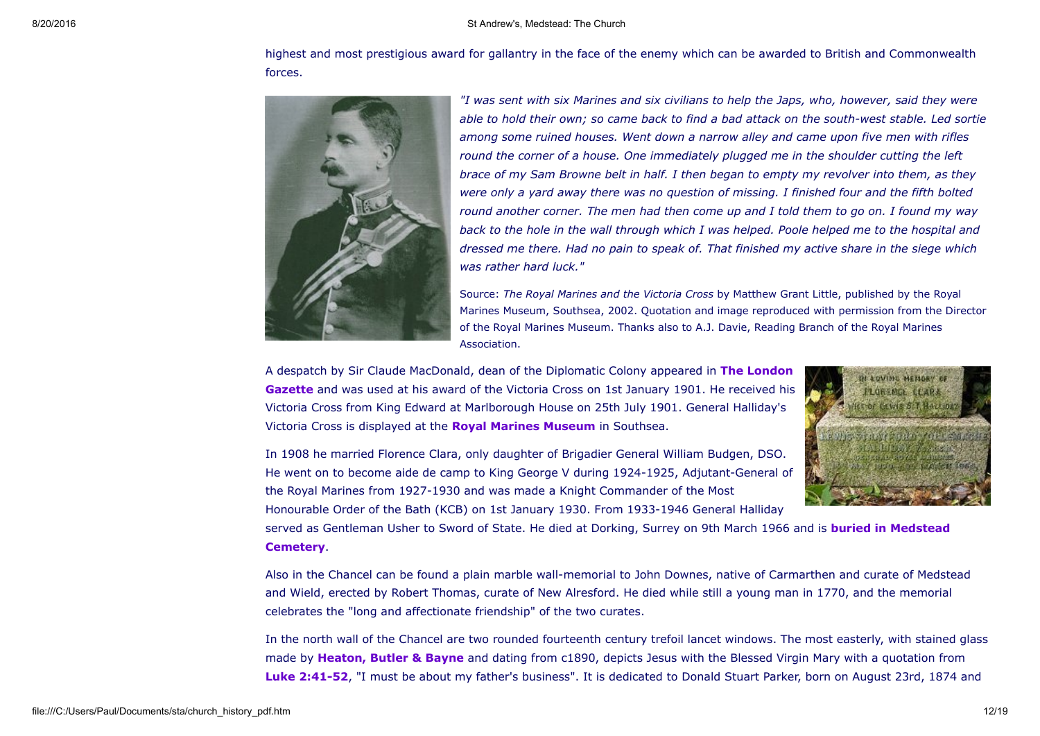highest and most prestigious award for gallantry in the face of the enemy which can be awarded to British and Commonwealth forces.



*"I was sent with six Marines and six civilians to help the Japs, who, however, said they were* able to hold their own; so came back to find a bad attack on the south-west stable. Led sortie *among some ruined houses. Went down a narrow alley and came upon five men with rifles round the corner of a house. One immediately plugged me in the shoulder cutting the left brace of my Sam Browne belt in half. I then began to empty my revolver into them, as they were only a yard away there was no question of missing. I finished four and the fifth bolted* round another corner. The men had then come up and I told them to go on. I found my way back to the hole in the wall through which I was helped. Poole helped me to the hospital and *dressed me there. Had no pain to speak of. That finished my active share in the siege which was rather hard luck."*

Source: *The Royal Marines and the Victoria Cross* by Matthew Grant Little, published by the Royal Marines Museum, Southsea, 2002. Quotation and image reproduced with permission from the Director of the Royal Marines Museum. Thanks also to A.J. Davie, Reading Branch of the Royal Marines Association.

A despatch by Sir Claude [MacDonald,](http://www.london-gazette.co.uk/issues/27262/pages/3) dean of the Diplomatic Colony appeared in **The London** Gazette and was used at his award of the Victoria Cross on 1st January 1901. He received his Victoria Cross from King Edward at Marlborough House on 25th July 1901. General Halliday's Victoria Cross is displayed at the **Royal Marines [Museum](http://www.royalmarinesmuseum.co.uk/)** in Southsea.



In 1908 he married Florence Clara, only daughter of Brigadier General William Budgen, DSO. He went on to become aide de camp to King George V during 1924-1925, Adjutant-General of the Royal Marines from 1927-1930 and was made a Knight Commander of the Most Honourable Order of the Bath (KCB) on 1st January 1930. From 1933-1946 General Halliday

served as Gentleman Usher to Sword of State. He died at Dorking, Surrey on 9th March 1966 and is **buried in Medstead** [Cemetery.](http://www.findagrave.com/cgi-bin/fg.cgi?page=gr&GRid=11346322)

Also in the Chancel can be found a plain marble wall-memorial to John Downes, native of Carmarthen and curate of Medstead and Wield, erected by Robert Thomas, curate of New Alresford. He died while still a young man in 1770, and the memorial celebrates the "long and affectionate friendship" of the two curates.

In the north wall of the Chancel are two rounded fourteenth century trefoil lancet windows. The most easterly, with stained glass made by [Heaton,](http://en.wikipedia.org/wiki/Heaton,_Butler_and_Bayne) Butler & Bayne and dating from c1890, depicts Jesus with the Blessed Virgin Mary with a quotation from Luke 2:41-52, "I must be about my father's business". It is dedicated to Donald Stuart Parker, born on August 23rd, 1874 and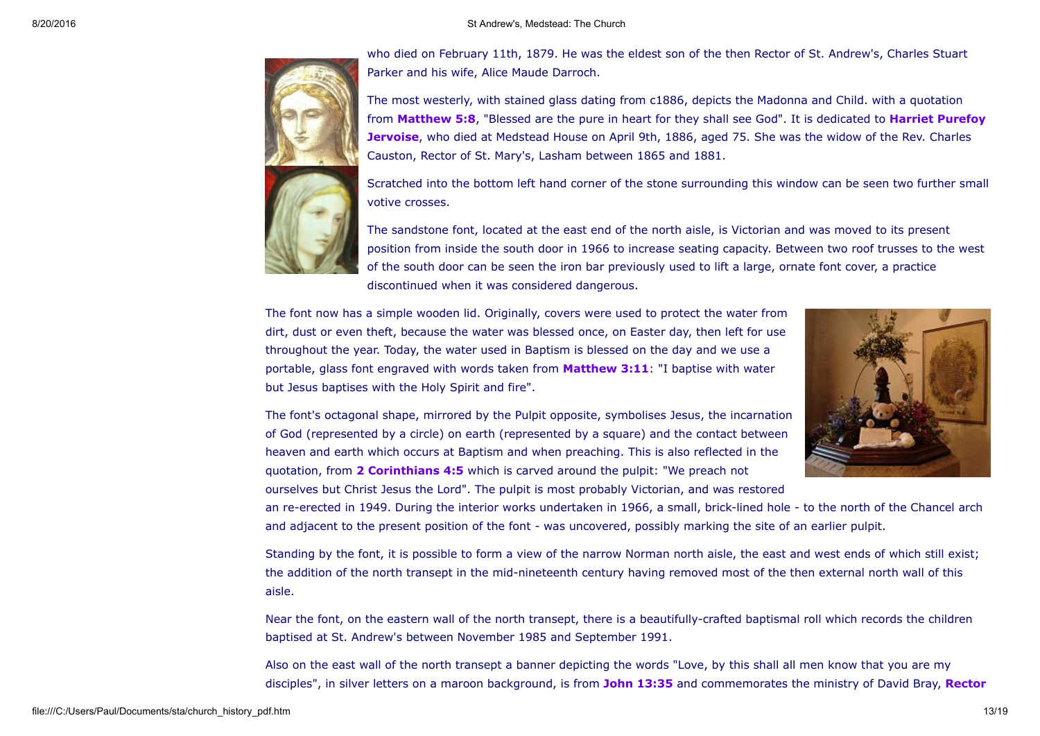

who died on February 11th, 1879. He was the eldest son of the then Rector of St. Andrew's, Charles Stuart Parker and his wife, Alice Maude Darroch.

The most westerly, with stained glass dating from c1886, depicts the Madonna and Child. with a quotation from [Matthew](http://www.biblegateway.com/bible?language=english&version=NKJV-UK&passage=matthew+5) 5:8, "Blessed are the pure in heart for they shall see God". It is dedicated to Harriet Purefoy [Jervoise,](http://worldconnect.genealogy.rootsweb.com/cgi-bin/igm.cgi?op=GET&db=one-name&id=I967) who died at Medstead House on April 9th, 1886, aged 75. She was the widow of the Rev. Charles Causton, Rector of St. Mary's, Lasham between 1865 and 1881.

Scratched into the bottom left hand corner of the stone surrounding this window can be seen two further small votive crosses.

The sandstone font, located at the east end of the north aisle, is Victorian and was moved to its present position from inside the south door in 1966 to increase seating capacity. Between two roof trusses to the west of the south door can be seen the iron bar previously used to lift a large, ornate font cover, a practice discontinued when it was considered dangerous.

The font now has a simple wooden lid. Originally, covers were used to protect the water from dirt, dust or even theft, because the water was blessed once, on Easter day, then left for use throughout the year. Today, the water used in Baptism is blessed on the day and we use a portable, glass font engraved with words taken from **[Matthew](http://www.biblegateway.com/bible?language=english&version=NIVUK&passage=matthew+3:11) 3:11**: "I baptise with water but Jesus baptises with the Holy Spirit and fire".



The font's octagonal shape, mirrored by the Pulpit opposite, symbolises Jesus, the incarnation of God (represented by a circle) on earth (represented by a square) and the contact between heaven and earth which occurs at Baptism and when preaching. This is also reflected in the quotation, from 2 [Corinthians](http://www.biblegateway.com/bible?language=english&version=NKJV-UK&passage=2%20Corinthians+4) 4:5 which is carved around the pulpit: "We preach not ourselves but Christ Jesus the Lord". The pulpit is most probably Victorian, and was restored

an re-erected in 1949. During the interior works undertaken in 1966, a small, brick-lined hole - to the north of the Chancel arch and adjacent to the present position of the font - was uncovered, possibly marking the site of an earlier pulpit.

Standing by the font, it is possible to form a view of the narrow Norman north aisle, the east and west ends of which still exist; the addition of the north transept in the mid-nineteenth century having removed most of the then external north wall of this aisle.

Near the font, on the eastern wall of the north transept, there is a beautifully-crafted baptismal roll which records the children baptised at St. Andrew's between November 1985 and September 1991.

Also on the east wall of the north transept a banner depicting the words "Love, by this shall all men know that you are my disciples", in silver letters on a maroon background, is from John [13:35](http://www.biblegateway.com/bible?language=english&version=NKJV-UK&passage=john+13:34-35) and commemorates the ministry of David Bray, [Rector](#page-15-0)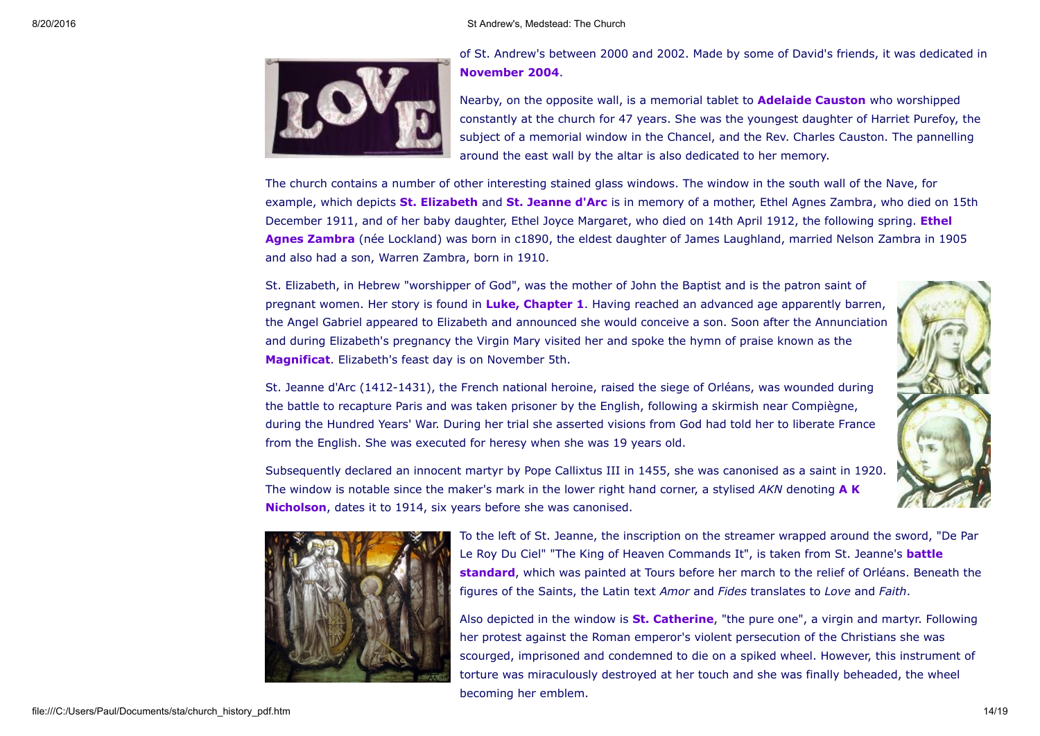

of St. Andrew's between 2000 and 2002. Made by some of David's friends, it was dedicated in [November](file:///C:/Users/Paul/Documents/sta/news0410.htm#b3a) 2004.

Nearby, on the opposite wall, is a memorial tablet to **[Adelaide](http://worldconnect.genealogy.rootsweb.com/cgi-bin/igm.cgi?op=GET&db=one-name&id=I990) Causton** who worshipped constantly at the church for 47 years. She was the youngest daughter of Harriet Purefoy, the subject of a memorial window in the Chancel, and the Rev. Charles Causton. The pannelling around the east wall by the altar is also dedicated to her memory.

The church contains a number of other interesting stained glass windows. The window in the south wall of the Nave, for example, which depicts St. [Elizabeth](http://en.wikipedia.org/wiki/Elizabeth_%28Biblical_person%29) and St. [Jeanne](http://en.wikipedia.org/wiki/Joan_of_Arc) d'Arc is in memory of a mother, Ethel Agnes Zambra, who died on 15th December 1911, and of her baby daughter, Ethel Joyce Margaret, who died on 14th April 1912, the following spring. Ethel Agnes Zambra (née Lockland) was born in c1890, the eldest daughter of James [Laughland,](http://www.wildwood.org.nz/david/p7.htm#i699) married Nelson Zambra in 1905 and also had a son, Warren Zambra, born in 1910.

St. Elizabeth, in Hebrew "worshipper of God", was the mother of John the Baptist and is the patron saint of pregnant women. Her story is found in Luke, [Chapter](http://www.biblegateway.com/bible?language=english&version=NIVUK&passage=Luke+1) 1. Having reached an advanced age apparently barren, the Angel Gabriel appeared to Elizabeth and announced she would conceive a son. Soon after the Annunciation and during Elizabeth's pregnancy the Virgin Mary visited her and spoke the hymn of praise known as the [Magnificat.](http://www.biblegateway.com/bible?language=english&version=NIVUK&passage=Luke+1:46-55) Elizabeth's feast day is on November 5th.

St. Jeanne d'Arc (1412-1431), the French national heroine, raised the siege of Orléans, was wounded during the battle to recapture Paris and was taken prisoner by the English, following a skirmish near Compiègne, during the Hundred Years' War. During her trial she asserted visions from God had told her to liberate France from the English. She was executed for heresy when she was 19 years old.

Subsequently declared an innocent martyr by Pope Callixtus III in 1455, she was canonised as a saint in 1920. The window is notable since the maker's mark in the lower right hand corner, a stylised *AKN* denoting A K [Nicholson,](http://en.wikipedia.org/wiki/Archibald_Keightley_Nicholson) dates it to 1914, six years before she was canonised.





To the left of St. Jeanne, the inscription on the streamer wrapped around the sword, "De Par Le Roy Du Ciel" "The King of Heaven [Commands](http://www.stjoan-center.com/j-cc/) It", is taken from St. Jeanne's battle standard, which was painted at Tours before her march to the relief of Orléans. Beneath the figures of the Saints, the Latin text *Amor* and *Fides* translates to *Love* and *Faith*.

Also depicted in the window is **St. [Catherine](http://en.wikipedia.org/wiki/Catherine_of_Alexandria)**, "the pure one", a virgin and martyr. Following her protest against the Roman emperor's violent persecution of the Christians she was scourged, imprisoned and condemned to die on a spiked wheel. However, this instrument of torture was miraculously destroyed at her touch and she was finally beheaded, the wheel becoming her emblem.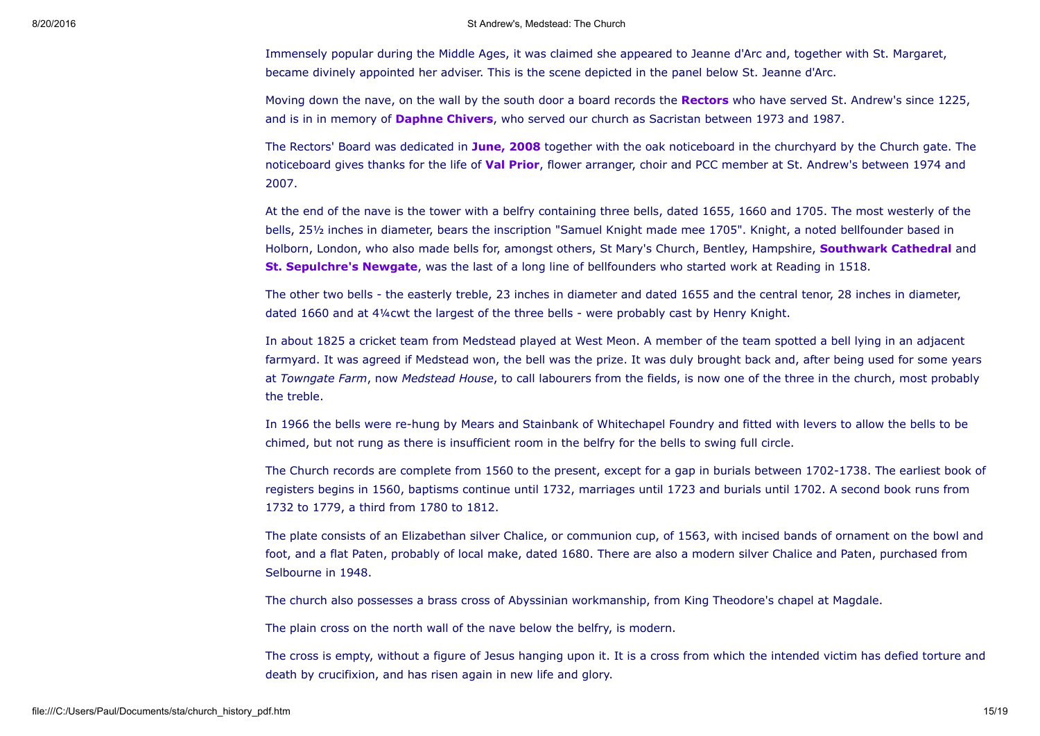Immensely popular during the Middle Ages, it was claimed she appeared to Jeanne d'Arc and, together with St. Margaret, became divinely appointed her adviser. This is the scene depicted in the panel below St. Jeanne d'Arc.

Moving down the nave, on the wall by the south door a board records the [Rectors](#page-15-0) who have served St. Andrew's since 1225, and is in in memory of **[Daphne](file:///C:/Users/Paul/Documents/sta/news0504.htm#b1dc) Chivers**, who served our church as Sacristan between 1973 and 1987.

The Rectors' Board was dedicated in [June,](file:///C:/Users/Paul/Documents/sta/news0804.htm#b13) 2008 together with the oak noticeboard in the churchyard by the Church gate. The noticeboard gives thanks for the life of **Val [Prior](file:///C:/Users/Paul/Documents/sta/news0701.htm#b1)**, flower arranger, choir and PCC member at St. Andrew's between 1974 and 2007.

At the end of the nave is the tower with a belfry containing three bells, dated 1655, 1660 and 1705. The most westerly of the bells, 25½ inches in diameter, bears the inscription "Samuel Knight made mee 1705". Knight, a noted bellfounder based in Holborn, London, who also made bells for, amongst others, St Mary's Church, Bentley, Hampshire, **[Southwark](http://www.southwark-bells.org.uk/history.html) Cathedral** and **St. [Sepulchre's](http://ascy.org.uk/pages/tower_st_sepulchre.htm) Newgate**, was the last of a long line of bellfounders who started work at Reading in 1518.

The other two bells - the easterly treble, 23 inches in diameter and dated 1655 and the central tenor, 28 inches in diameter, dated 1660 and at 4¼cwt the largest of the three bells were probably cast by Henry Knight.

In about 1825 a cricket team from Medstead played at West Meon. A member of the team spotted a bell lying in an adjacent farmyard. It was agreed if Medstead won, the bell was the prize. It was duly brought back and, after being used for some years at *Towngate Farm*, now *Medstead House*, to call labourers from the fields, is now one of the three in the church, most probably the treble.

In 1966 the bells were rehung by Mears and Stainbank of Whitechapel Foundry and fitted with levers to allow the bells to be chimed, but not rung as there is insufficient room in the belfry for the bells to swing full circle.

The Church records are complete from 1560 to the present, except for a gap in burials between 1702-1738. The earliest book of registers begins in 1560, baptisms continue until 1732, marriages until 1723 and burials until 1702. A second book runs from 1732 to 1779, a third from 1780 to 1812.

The plate consists of an Elizabethan silver Chalice, or communion cup, of 1563, with incised bands of ornament on the bowl and foot, and a flat Paten, probably of local make, dated 1680. There are also a modern silver Chalice and Paten, purchased from Selbourne in 1948.

The church also possesses a brass cross of Abyssinian workmanship, from King Theodore's chapel at Magdale.

The plain cross on the north wall of the nave below the belfry, is modern.

The cross is empty, without a figure of Jesus hanging upon it. It is a cross from which the intended victim has defied torture and death by crucifixion, and has risen again in new life and glory.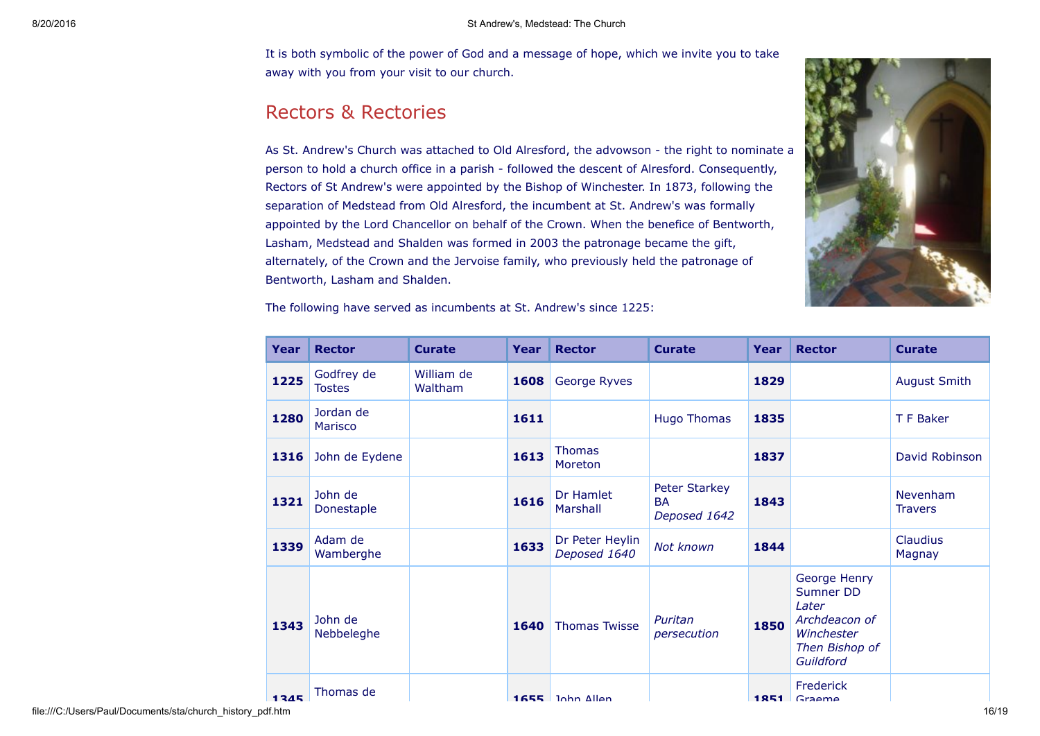It is both symbolic of the power of God and a message of hope, which we invite you to take away with you from your visit to our church.

# <span id="page-15-0"></span>Rectors & Rectories

As St. Andrew's Church was attached to Old Alresford, the advowson - the right to nominate a person to hold a church office in a parish followed the descent of Alresford. Consequently, Rectors of St Andrew's were appointed by the Bishop of Winchester. In 1873, following the separation of Medstead from Old Alresford, the incumbent at St. Andrew's was formally appointed by the Lord Chancellor on behalf of the Crown. When the benefice of Bentworth, Lasham, Medstead and Shalden was formed in 2003 the patronage became the gift, alternately, of the Crown and the Jervoise family, who previously held the patronage of Bentworth, Lasham and Shalden.



| Year   | <b>Rector</b>               | <b>Curate</b>         | Year | <b>Rector</b>                   | <b>Curate</b>                              | Year | <b>Rector</b>                                                                                    | <b>Curate</b>              |
|--------|-----------------------------|-----------------------|------|---------------------------------|--------------------------------------------|------|--------------------------------------------------------------------------------------------------|----------------------------|
| 1225   | Godfrey de<br><b>Tostes</b> | William de<br>Waltham | 1608 | George Ryves                    |                                            | 1829 |                                                                                                  | <b>August Smith</b>        |
| 1280   | Jordan de<br>Marisco        |                       | 1611 |                                 | <b>Hugo Thomas</b>                         | 1835 |                                                                                                  | T F Baker                  |
| 1316   | John de Eydene              |                       | 1613 | <b>Thomas</b><br>Moreton        |                                            | 1837 |                                                                                                  | David Robinson             |
| 1321   | John de<br>Donestaple       |                       | 1616 | Dr Hamlet<br>Marshall           | Peter Starkey<br><b>BA</b><br>Deposed 1642 | 1843 |                                                                                                  | Nevenham<br><b>Travers</b> |
| 1339   | Adam de<br>Wamberghe        |                       | 1633 | Dr Peter Heylin<br>Deposed 1640 | Not known                                  | 1844 |                                                                                                  | Claudius<br>Magnay         |
| 1343   | John de<br>Nebbeleghe       |                       | 1640 | <b>Thomas Twisse</b>            | Puritan<br>persecution                     | 1850 | George Henry<br>Sumner DD<br>Later<br>Archdeacon of<br>Winchester<br>Then Bishop of<br>Guildford |                            |
| $1345$ | Thomas de                   |                       |      | $1655$ $nhn$ Allan              |                                            |      | Frederick<br>$1851$ Graama                                                                       |                            |

The following have served as incumbents at St. Andrew's since 1225: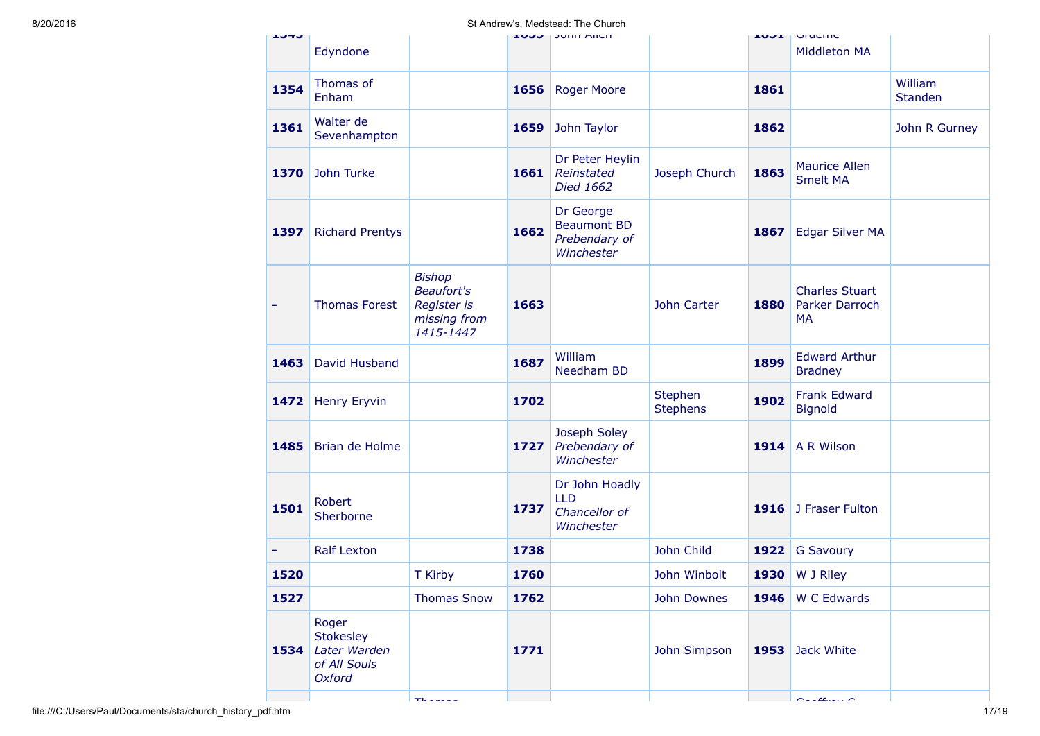| エンサン |                                                                            |                                                                                                                                  |      | <b>JUNIOR THILL</b>                                            |                            | エロコエ | Gruunno                                              |                    |
|------|----------------------------------------------------------------------------|----------------------------------------------------------------------------------------------------------------------------------|------|----------------------------------------------------------------|----------------------------|------|------------------------------------------------------|--------------------|
|      | Edyndone                                                                   |                                                                                                                                  |      |                                                                |                            |      | <b>Middleton MA</b>                                  |                    |
| 1354 | Thomas of<br>Enham                                                         |                                                                                                                                  | 1656 | <b>Roger Moore</b>                                             |                            | 1861 |                                                      | William<br>Standen |
| 1361 | Walter de<br>Sevenhampton                                                  |                                                                                                                                  | 1659 | John Taylor                                                    |                            | 1862 |                                                      | John R Gurney      |
| 1370 | John Turke                                                                 |                                                                                                                                  | 1661 | Dr Peter Heylin<br>Reinstated<br>Died 1662                     | Joseph Church              | 1863 | <b>Maurice Allen</b><br><b>Smelt MA</b>              |                    |
| 1397 | <b>Richard Prentys</b>                                                     |                                                                                                                                  | 1662 | Dr George<br><b>Beaumont BD</b><br>Prebendary of<br>Winchester |                            | 1867 | <b>Edgar Silver MA</b>                               |                    |
|      | <b>Thomas Forest</b>                                                       | <b>Bishop</b><br><b>Beaufort's</b><br>Register is<br>missing from<br>1415-1447                                                   | 1663 |                                                                | John Carter                | 1880 | <b>Charles Stuart</b><br>Parker Darroch<br><b>MA</b> |                    |
| 1463 | David Husband                                                              |                                                                                                                                  | 1687 | William<br>Needham BD                                          |                            | 1899 | <b>Edward Arthur</b><br><b>Bradney</b>               |                    |
| 1472 | <b>Henry Eryvin</b>                                                        |                                                                                                                                  | 1702 |                                                                | Stephen<br><b>Stephens</b> | 1902 | <b>Frank Edward</b><br>Bignold                       |                    |
| 1485 | Brian de Holme                                                             |                                                                                                                                  | 1727 | Joseph Soley<br>Prebendary of<br>Winchester                    |                            | 1914 | A R Wilson                                           |                    |
| 1501 | Robert<br>Sherborne                                                        |                                                                                                                                  | 1737 | Dr John Hoadly<br><b>LLD</b><br>Chancellor of<br>Winchester    |                            | 1916 | J Fraser Fulton                                      |                    |
| ٠    | <b>Ralf Lexton</b>                                                         |                                                                                                                                  | 1738 |                                                                | John Child                 | 1922 | <b>G Savoury</b>                                     |                    |
| 1520 |                                                                            | T Kirby                                                                                                                          | 1760 |                                                                | John Winbolt               |      | 1930   W J Riley                                     |                    |
| 1527 |                                                                            | <b>Thomas Snow</b>                                                                                                               | 1762 |                                                                | John Downes                |      | 1946   W C Edwards                                   |                    |
| 1534 | Roger<br><b>Stokesley</b><br>Later Warden<br>of All Souls<br><b>Oxford</b> |                                                                                                                                  | 1771 |                                                                | John Simpson               | 1953 | Jack White                                           |                    |
|      |                                                                            | $\mathbf{T}^{\text{L}}\mathbf{L}^{\text{L}}\mathbf{L}^{\text{L}}\mathbf{L}^{\text{L}}\mathbf{L}^{\text{L}}\mathbf{L}^{\text{L}}$ |      |                                                                |                            |      | $C = 20$                                             |                    |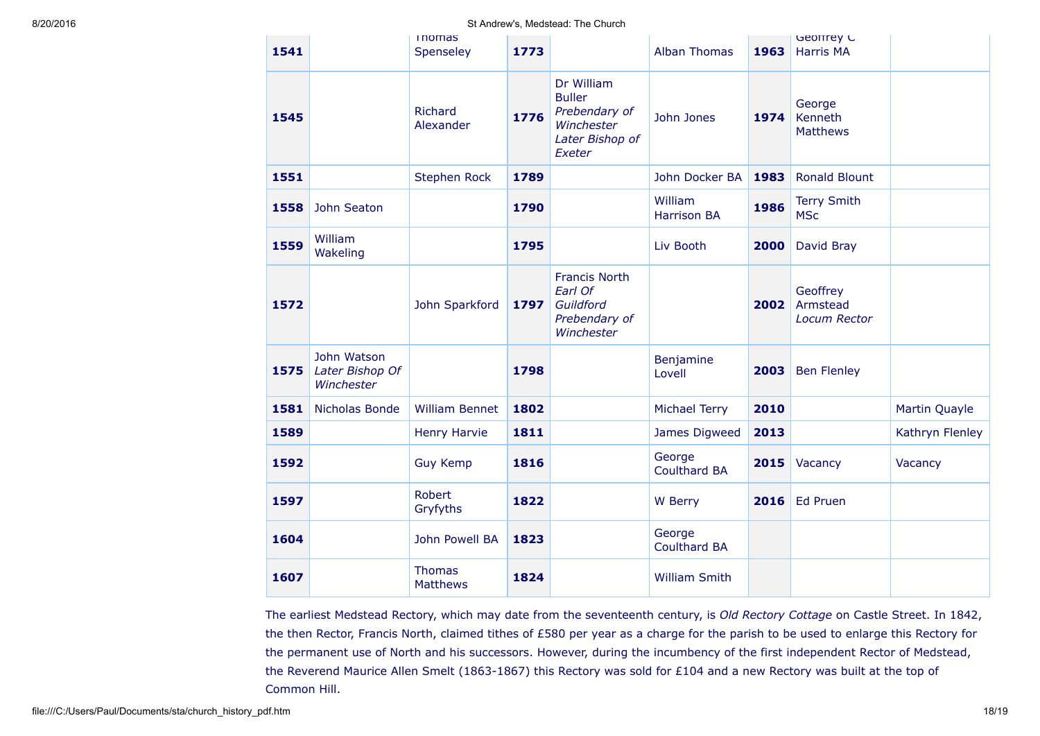| 1541 |                                              | <b>Inomas</b><br>Spenseley       | 1773 |                                                                                         | <b>Alban Thomas</b>           | 1963 | Georrey C<br><b>Harris MA</b>               |                 |
|------|----------------------------------------------|----------------------------------|------|-----------------------------------------------------------------------------------------|-------------------------------|------|---------------------------------------------|-----------------|
| 1545 |                                              | Richard<br>Alexander             | 1776 | Dr William<br><b>Buller</b><br>Prebendary of<br>Winchester<br>Later Bishop of<br>Exeter | John Jones                    | 1974 | George<br>Kenneth<br><b>Matthews</b>        |                 |
| 1551 |                                              | <b>Stephen Rock</b>              | 1789 |                                                                                         | John Docker BA                | 1983 | <b>Ronald Blount</b>                        |                 |
| 1558 | John Seaton                                  |                                  | 1790 |                                                                                         | William<br><b>Harrison BA</b> | 1986 | <b>Terry Smith</b><br><b>MSc</b>            |                 |
| 1559 | William<br>Wakeling                          |                                  | 1795 |                                                                                         | Liv Booth                     | 2000 | David Bray                                  |                 |
| 1572 |                                              | John Sparkford                   | 1797 | <b>Francis North</b><br>Earl Of<br>Guildford<br>Prebendary of<br>Winchester             |                               | 2002 | Geoffrey<br>Armstead<br><b>Locum Rector</b> |                 |
| 1575 | John Watson<br>Later Bishop Of<br>Winchester |                                  | 1798 |                                                                                         | Benjamine<br>Lovell           | 2003 | <b>Ben Flenley</b>                          |                 |
| 1581 | Nicholas Bonde                               | <b>William Bennet</b>            | 1802 |                                                                                         | <b>Michael Terry</b>          | 2010 |                                             | Martin Quayle   |
| 1589 |                                              | <b>Henry Harvie</b>              | 1811 |                                                                                         | James Digweed                 | 2013 |                                             | Kathryn Flenley |
| 1592 |                                              | <b>Guy Kemp</b>                  | 1816 |                                                                                         | George<br><b>Coulthard BA</b> | 2015 | Vacancy                                     | Vacancy         |
| 1597 |                                              | Robert<br>Gryfyths               | 1822 |                                                                                         | W Berry                       | 2016 | Ed Pruen                                    |                 |
| 1604 |                                              | John Powell BA                   | 1823 |                                                                                         | George<br><b>Coulthard BA</b> |      |                                             |                 |
| 1607 |                                              | <b>Thomas</b><br><b>Matthews</b> | 1824 |                                                                                         | <b>William Smith</b>          |      |                                             |                 |

The earliest Medstead Rectory, which may date from the seventeenth century, is *Old Rectory Cottage* on Castle Street. In 1842, the then Rector, Francis North, claimed tithes of £580 per year as a charge for the parish to be used to enlarge this Rectory for the permanent use of North and his successors. However, during the incumbency of the first independent Rector of Medstead, the Reverend Maurice Allen Smelt (1863-1867) this Rectory was sold for £104 and a new Rectory was built at the top of Common Hill.